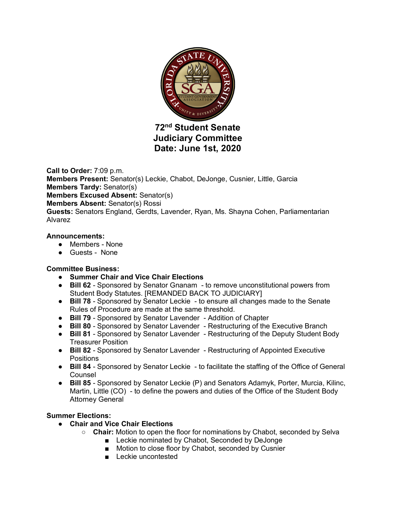

**72nd Student Senate Judiciary Committee Date: June 1st, 2020**

**Call to Order:** 7:09 p.m. **Members Present:** Senator(s) Leckie, Chabot, DeJonge, Cusnier, Little, Garcia **Members Tardy:** Senator(s) **Members Excused Absent:** Senator(s) **Members Absent:** Senator(s) Rossi **Guests:** Senators England, Gerdts, Lavender, Ryan, Ms. Shayna Cohen, Parliamentarian Alvarez

### **Announcements:**

- Members None
- Guests None

# **Committee Business:**

- **Summer Chair and Vice Chair Elections**
- **Bill 62** Sponsored by Senator Gnanam to remove unconstitutional powers from Student Body Statutes. [REMANDED BACK TO JUDICIARY]
- **Bill 78** Sponsored by Senator Leckie to ensure all changes made to the Senate Rules of Procedure are made at the same threshold.
- **Bill 79** Sponsored by Senator Lavender Addition of Chapter
- **Bill 80** Sponsored by Senator Lavender Restructuring of the Executive Branch
- **Bill 81** Sponsored by Senator Lavender Restructuring of the Deputy Student Body Treasurer Position
- **Bill 82** Sponsored by Senator Lavender Restructuring of Appointed Executive **Positions**
- **Bill 84** Sponsored by Senator Leckie to facilitate the staffing of the Office of General Counsel
- **Bill 85** Sponsored by Senator Leckie (P) and Senators Adamyk, Porter, Murcia, Kilinc, Martin, Little (CO) - to define the powers and duties of the Office of the Student Body Attorney General

# **Summer Elections:**

- **Chair and Vice Chair Elections**
	- **Chair:** Motion to open the floor for nominations by Chabot, seconded by Selva
		- Leckie nominated by Chabot, Seconded by DeJonge
		- Motion to close floor by Chabot, seconded by Cusnier
		- Leckie uncontested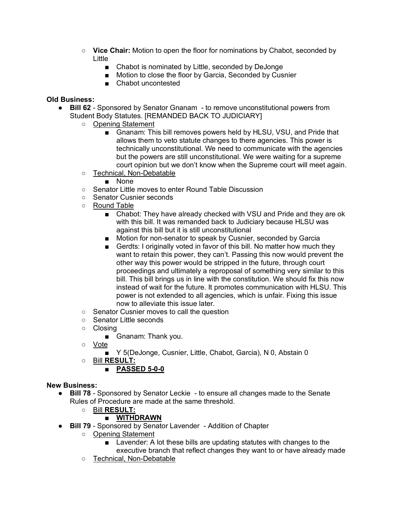- **Vice Chair:** Motion to open the floor for nominations by Chabot, seconded by Little
	- Chabot is nominated by Little, seconded by DeJonge
	- Motion to close the floor by Garcia, Seconded by Cusnier
	- Chabot uncontested

# **Old Business:**

- **Bill 62** Sponsored by Senator Gnanam to remove unconstitutional powers from Student Body Statutes. [REMANDED BACK TO JUDICIARY]
	- Opening Statement
		- Gnanam: This bill removes powers held by HLSU, VSU, and Pride that allows them to veto statute changes to there agencies. This power is technically unconstitutional. We need to communicate with the agencies but the powers are still unconstitutional. We were waiting for a supreme court opinion but we don't know when the Supreme court will meet again.
	- Technical, Non-Debatable
		- None
	- Senator Little moves to enter Round Table Discussion
	- Senator Cusnier seconds
	- Round Table
		- Chabot: They have already checked with VSU and Pride and they are ok with this bill. It was remanded back to Judiciary because HLSU was against this bill but it is still unconstitutional
		- Motion for non-senator to speak by Cusnier, seconded by Garcia
		- Gerdts: I originally voted in favor of this bill. No matter how much they want to retain this power, they can't. Passing this now would prevent the other way this power would be stripped in the future, through court proceedings and ultimately a reproposal of something very similar to this bill. This bill brings us in line with the constitution. We should fix this now instead of wait for the future. It promotes communication with HLSU. This power is not extended to all agencies, which is unfair. Fixing this issue now to alleviate this issue later.
	- Senator Cusnier moves to call the question
	- Senator Little seconds
	- Closing
		- Gnanam: Thank you.
	- Vote
		- Y 5(DeJonge, Cusnier, Little, Chabot, Garcia), N 0, Abstain 0
	- Bill **RESULT:**

# ■ **PASSED 5-0-0**

# **New Business:**

- **Bill 78** Sponsored by Senator Leckie to ensure all changes made to the Senate Rules of Procedure are made at the same threshold.
	- Bill **RESULT:**

# ■ **WITHDRAWN**

- **Bill 79** Sponsored by Senator Lavender Addition of Chapter
	- Opening Statement
		- Lavender: A lot these bills are updating statutes with changes to the executive branch that reflect changes they want to or have already made
	- Technical, Non-Debatable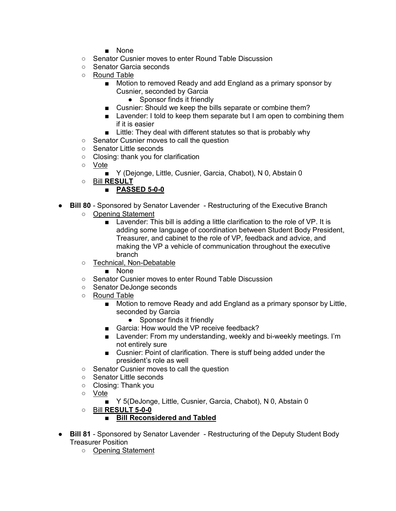- None
- Senator Cusnier moves to enter Round Table Discussion
- Senator Garcia seconds
- Round Table
	- Motion to removed Ready and add England as a primary sponsor by Cusnier, seconded by Garcia
		- Sponsor finds it friendly
	- Cusnier: Should we keep the bills separate or combine them?
	- Lavender: I told to keep them separate but I am open to combining them if it is easier
	- Little: They deal with different statutes so that is probably why
- Senator Cusnier moves to call the question
- Senator Little seconds
- Closing: thank you for clarification
- Vote
	- Y (Dejonge, Little, Cusnier, Garcia, Chabot), N 0, Abstain 0
- Bill **RESULT**
	- **PASSED 5-0-0**
- **Bill 80** Sponsored by Senator Lavender Restructuring of the Executive Branch
	- Opening Statement
		- Lavender: This bill is adding a little clarification to the role of VP. It is adding some language of coordination between Student Body President, Treasurer, and cabinet to the role of VP, feedback and advice, and making the VP a vehicle of communication throughout the executive branch
	- Technical, Non-Debatable
		- None
	- Senator Cusnier moves to enter Round Table Discussion
	- Senator DeJonge seconds
	- Round Table
		- Motion to remove Ready and add England as a primary sponsor by Little, seconded by Garcia
			- Sponsor finds it friendly
		- Garcia: How would the VP receive feedback?
		- Lavender: From my understanding, weekly and bi-weekly meetings. I'm not entirely sure
		- Cusnier: Point of clarification. There is stuff being added under the president's role as well
	- Senator Cusnier moves to call the question
	- Senator Little seconds
	- Closing: Thank you
	- Vote
		- Y 5(DeJonge, Little, Cusnier, Garcia, Chabot), N 0, Abstain 0
	- Bill **RESULT 5-0-0**

# ■ **Bill Reconsidered and Tabled**

- **Bill 81** Sponsored by Senator Lavender Restructuring of the Deputy Student Body Treasurer Position
	- Opening Statement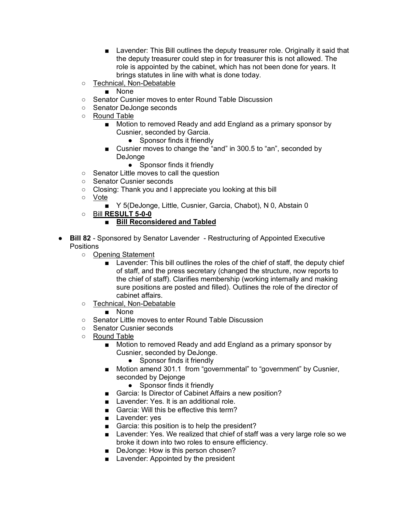- Lavender: This Bill outlines the deputy treasurer role. Originally it said that the deputy treasurer could step in for treasurer this is not allowed. The role is appointed by the cabinet, which has not been done for years. It brings statutes in line with what is done today.
- Technical, Non-Debatable
	- None
- Senator Cusnier moves to enter Round Table Discussion
- Senator DeJonge seconds
- Round Table
	- Motion to removed Ready and add England as a primary sponsor by Cusnier, seconded by Garcia.
		- Sponsor finds it friendly
	- Cusnier moves to change the "and" in 300.5 to "an", seconded by DeJonge
		- Sponsor finds it friendly
- Senator Little moves to call the question
- Senator Cusnier seconds
- Closing: Thank you and I appreciate you looking at this bill
- Vote
	- Y 5(DeJonge, Little, Cusnier, Garcia, Chabot), N 0, Abstain 0
- Bill **RESULT 5-0-0**

# ■ **Bill Reconsidered and Tabled**

- **Bill 82** Sponsored by Senator Lavender Restructuring of Appointed Executive **Positions** 
	- Opening Statement
		- Lavender: This bill outlines the roles of the chief of staff, the deputy chief of staff, and the press secretary (changed the structure, now reports to the chief of staff). Clarifies membership (working internally and making sure positions are posted and filled). Outlines the role of the director of cabinet affairs.
	- Technical, Non-Debatable
		- None
	- Senator Little moves to enter Round Table Discussion
	- Senator Cusnier seconds
	- Round Table
		- Motion to removed Ready and add England as a primary sponsor by Cusnier, seconded by DeJonge.
			- Sponsor finds it friendly
		- Motion amend 301.1 from "governmental" to "government" by Cusnier, seconded by Dejonge
			- Sponsor finds it friendly
		- Garcia: Is Director of Cabinet Affairs a new position?
		- Lavender: Yes. It is an additional role.
		- Garcia: Will this be effective this term?
		- Lavender: yes
		- Garcia: this position is to help the president?
		- Lavender: Yes. We realized that chief of staff was a very large role so we broke it down into two roles to ensure efficiency.
		- DeJonge: How is this person chosen?
		- Lavender: Appointed by the president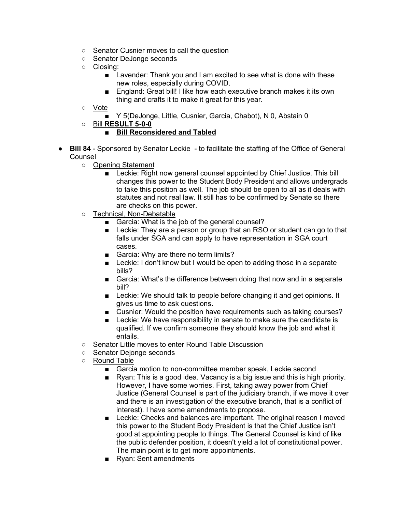- Senator Cusnier moves to call the question
- Senator DeJonge seconds
- Closing:
	- Lavender: Thank you and I am excited to see what is done with these new roles, especially during COVID.
	- England: Great bill! I like how each executive branch makes it its own thing and crafts it to make it great for this year.
- Vote
	- Y 5(DeJonge, Little, Cusnier, Garcia, Chabot), N 0, Abstain 0
- Bill **RESULT 5-0-0**

# ■ **Bill Reconsidered and Tabled**

- **Bill 84** Sponsored by Senator Leckie to facilitate the staffing of the Office of General Counsel
	- Opening Statement
		- Leckie: Right now general counsel appointed by Chief Justice. This bill changes this power to the Student Body President and allows undergrads to take this position as well. The job should be open to all as it deals with statutes and not real law. It still has to be confirmed by Senate so there are checks on this power.
	- Technical, Non-Debatable
		- Garcia: What is the job of the general counsel?
		- Leckie: They are a person or group that an RSO or student can go to that falls under SGA and can apply to have representation in SGA court cases.
		- Garcia: Why are there no term limits?
		- Leckie: I don't know but I would be open to adding those in a separate bills?
		- Garcia: What's the difference between doing that now and in a separate bill?
		- Leckie: We should talk to people before changing it and get opinions. It gives us time to ask questions.
		- Cusnier: Would the position have requirements such as taking courses?
		- Leckie: We have responsibility in senate to make sure the candidate is qualified. If we confirm someone they should know the job and what it entails.
	- Senator Little moves to enter Round Table Discussion
	- Senator Dejonge seconds
	- Round Table
		- Garcia motion to non-committee member speak, Leckie second
		- Ryan: This is a good idea. Vacancy is a big issue and this is high priority. However, I have some worries. First, taking away power from Chief Justice (General Counsel is part of the judiciary branch, if we move it over and there is an investigation of the executive branch, that is a conflict of interest). I have some amendments to propose.
		- Leckie: Checks and balances are important. The original reason I moved this power to the Student Body President is that the Chief Justice isn't good at appointing people to things. The General Counsel is kind of like the public defender position, it doesn't yield a lot of constitutional power. The main point is to get more appointments.
		- Ryan: Sent amendments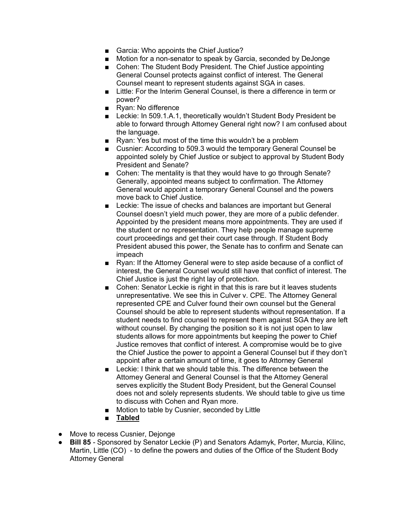- Garcia: Who appoints the Chief Justice?
- Motion for a non-senator to speak by Garcia, seconded by DeJonge
- Cohen: The Student Body President. The Chief Justice appointing General Counsel protects against conflict of interest. The General Counsel meant to represent students against SGA in cases.
- Little: For the Interim General Counsel, is there a difference in term or power?
- Ryan: No difference
- Leckie: In 509.1.A.1, theoretically wouldn't Student Body President be able to forward through Attorney General right now? I am confused about the language.
- Ryan: Yes but most of the time this wouldn't be a problem
- Cusnier: According to 509.3 would the temporary General Counsel be appointed solely by Chief Justice or subject to approval by Student Body President and Senate?
- Cohen: The mentality is that they would have to go through Senate? Generally, appointed means subject to confirmation. The Attorney General would appoint a temporary General Counsel and the powers move back to Chief Justice.
- Leckie: The issue of checks and balances are important but General Counsel doesn't yield much power, they are more of a public defender. Appointed by the president means more appointments. They are used if the student or no representation. They help people manage supreme court proceedings and get their court case through. If Student Body President abused this power, the Senate has to confirm and Senate can impeach
- Ryan: If the Attorney General were to step aside because of a conflict of interest, the General Counsel would still have that conflict of interest. The Chief Justice is just the right lay of protection.
- Cohen: Senator Leckie is right in that this is rare but it leaves students unrepresentative. We see this in Culver v. CPE. The Attorney General represented CPE and Culver found their own counsel but the General Counsel should be able to represent students without representation. If a student needs to find counsel to represent them against SGA they are left without counsel. By changing the position so it is not just open to law students allows for more appointments but keeping the power to Chief Justice removes that conflict of interest. A compromise would be to give the Chief Justice the power to appoint a General Counsel but if they don't appoint after a certain amount of time, it goes to Attorney General
- Leckie: I think that we should table this. The difference between the Attorney General and General Counsel is that the Attorney General serves explicitly the Student Body President, but the General Counsel does not and solely represents students. We should table to give us time to discuss with Cohen and Ryan more.
- Motion to table by Cusnier, seconded by Little
- **Tabled**
- Move to recess Cusnier, Dejonge
- **Bill 85** Sponsored by Senator Leckie (P) and Senators Adamyk, Porter, Murcia, Kilinc, Martin, Little (CO) - to define the powers and duties of the Office of the Student Body Attorney General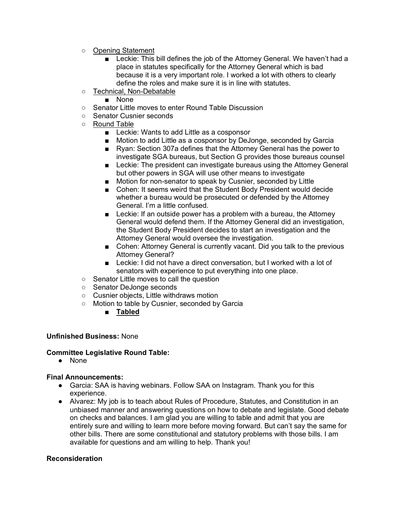- Opening Statement
	- Leckie: This bill defines the job of the Attorney General. We haven't had a place in statutes specifically for the Attorney General which is bad because it is a very important role. I worked a lot with others to clearly define the roles and make sure it is in line with statutes.
- Technical, Non-Debatable
	- None
- Senator Little moves to enter Round Table Discussion
- Senator Cusnier seconds
- Round Table
	- Leckie: Wants to add Little as a cosponsor
	- Motion to add Little as a cosponsor by DeJonge, seconded by Garcia
	- Ryan: Section 307a defines that the Attorney General has the power to investigate SGA bureaus, but Section G provides those bureaus counsel
	- Leckie: The president can investigate bureaus using the Attorney General but other powers in SGA will use other means to investigate
	- Motion for non-senator to speak by Cusnier, seconded by Little
	- Cohen: It seems weird that the Student Body President would decide whether a bureau would be prosecuted or defended by the Attorney General. I'm a little confused.
	- Leckie: If an outside power has a problem with a bureau, the Attorney General would defend them. If the Attorney General did an investigation, the Student Body President decides to start an investigation and the Attorney General would oversee the investigation.
	- Cohen: Attorney General is currently vacant. Did you talk to the previous Attorney General?
	- Leckie: I did not have a direct conversation, but I worked with a lot of senators with experience to put everything into one place.
- Senator Little moves to call the question
- Senator DeJonge seconds
- Cusnier objects, Little withdraws motion
- Motion to table by Cusnier, seconded by Garcia
	- **Tabled**

# **Unfinished Business:** None

# **Committee Legislative Round Table:**

● None

#### **Final Announcements:**

- Garcia: SAA is having webinars. Follow SAA on Instagram. Thank you for this experience.
- Alvarez: My job is to teach about Rules of Procedure, Statutes, and Constitution in an unbiased manner and answering questions on how to debate and legislate. Good debate on checks and balances. I am glad you are willing to table and admit that you are entirely sure and willing to learn more before moving forward. But can't say the same for other bills. There are some constitutional and statutory problems with those bills. I am available for questions and am willing to help. Thank you!

#### **Reconsideration**